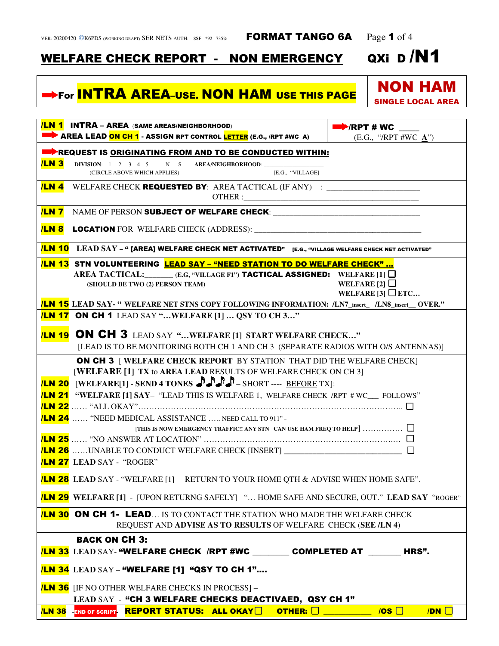## WELFARE CHECK REPORT - NON EMERGENCY QXi

## For <mark>INTRA AREA<sup>\_</sup>USE. NON HAM USE THIS PAGE</mark>

| /LN 1 INTRA - AREA (SAME AREAS/NEIGHBORHOOD)<br>AREA LEAD ON CH 1 - ASSIGN RPT CONTROL LETTER (E.G., /RPT #WC A)                                                                                                | $\blacktriangleright$ /RPT # WC<br>(E.G., "/RPT #WC $\underline{A}$ ") |  |  |  |
|-----------------------------------------------------------------------------------------------------------------------------------------------------------------------------------------------------------------|------------------------------------------------------------------------|--|--|--|
| REQUEST IS ORIGINATING FROM AND TO BE CONDUCTED WITHIN:                                                                                                                                                         |                                                                        |  |  |  |
| <b>/LN 3</b><br>DIVISION: 1 2 3 4 5 N S AREA/NEIGHBORHOOD:<br>[E.G., "VILLAGE]<br>(CIRCLE ABOVE WHICH APPLIES)                                                                                                  |                                                                        |  |  |  |
| <b>/LN 4</b><br>WELFARE CHECK REQUESTED BY: AREA TACTICAL (IF ANY) : ___________________________                                                                                                                |                                                                        |  |  |  |
| <b>/LN 7</b>                                                                                                                                                                                                    |                                                                        |  |  |  |
| <b>/LN 8</b>                                                                                                                                                                                                    |                                                                        |  |  |  |
| <b>LN 10</b> LEAD SAY - " [AREA] WELFARE CHECK NET ACTIVATED" [E.G., "VILLAGE WELFARE CHECK NET ACTIVATED"                                                                                                      |                                                                        |  |  |  |
| <b>/LN 13 STN VOLUNTEERING LEAD SAY - "NEED STATION TO DO WELFARE CHECK" </b>                                                                                                                                   |                                                                        |  |  |  |
| AREA TACTICAL: $_{\text{E.G, "VILLAGE FI"}}$ <b>TACTICAL ASSIGNED:</b> WELFARE [1] $\Box$<br>(SHOULD BE TWO (2) PERSON TEAM)                                                                                    | WELFARE [2] $\Box$<br>WELFARE [3] $\square$ ETC                        |  |  |  |
| <b>/LN 15</b> LEAD SAY- " WELFARE NET STNS COPY FOLLOWING INFORMATION: /LN7_insert_ /LN8_insert_ OVER."                                                                                                         |                                                                        |  |  |  |
| <b>/LN 17 ON CH 1</b> LEAD SAY "WELFARE [1]  QSY TO CH 3"                                                                                                                                                       |                                                                        |  |  |  |
| <b><i>ILN 19</i> ON CH 3</b> LEAD SAY "WELFARE [1] START WELFARE CHECK"<br>[LEAD IS TO BE MONITORING BOTH CH 1 AND CH 3 (SEPARATE RADIOS WITH O/S ANTENNAS)]                                                    |                                                                        |  |  |  |
| <b>ON CH 3</b> [WELFARE CHECK REPORT BY STATION THAT DID THE WELFARE CHECK]<br>[WELFARE [1] TX to AREA LEAD RESULTS OF WELFARE CHECK ON CH 3]<br>ILN 20 [WELFARE[1] - SEND 4 TONES AND A SHORT ---- BEFORE TX]: |                                                                        |  |  |  |
| <b>LN 21</b> "WELFARE [1] SAY- "LEAD THIS IS WELFARE 1, WELFARE CHECK /RPT # WC__ FOLLOWS"                                                                                                                      |                                                                        |  |  |  |
| <mark>/LN 22</mark> …… "ALL OKAY"…………………………………………………………………………………… □<br><b>LN 24</b> "NEED MEDICAL ASSISTANCE  NEED CALL TO 911" -                                                                               |                                                                        |  |  |  |
|                                                                                                                                                                                                                 |                                                                        |  |  |  |
| <b>LN 27</b> LEAD SAY - "ROGER"                                                                                                                                                                                 |                                                                        |  |  |  |
| <b>LN 28</b> LEAD SAY - "WELFARE [1] RETURN TO YOUR HOME QTH & ADVISE WHEN HOME SAFE"                                                                                                                           |                                                                        |  |  |  |
| <b>/LN 29</b> WELFARE [1] - [UPON RETURNG SAFELY] " HOME SAFE AND SECURE, OUT." LEAD SAY "ROGER"                                                                                                                |                                                                        |  |  |  |
| <b>ILN 30 ON CH 1- LEAD</b> IS TO CONTACT THE STATION WHO MADE THE WELFARE CHECK<br>REQUEST AND ADVISE AS TO RESULTS OF WELFARE CHECK (SEE /LN 4)                                                               |                                                                        |  |  |  |
| <b>BACK ON CH 3:</b>                                                                                                                                                                                            |                                                                        |  |  |  |
| <b>/LN 33</b> LEAD SAY- "WELFARE CHECK /RPT #WC __________ COMPLETED AT ________ HRS".                                                                                                                          |                                                                        |  |  |  |
| <b>/LN 34</b> LEAD SAY - "WELFARE [1] "QSY TO CH 1"                                                                                                                                                             |                                                                        |  |  |  |
| <b>ILN 36</b> IF NO OTHER WELFARE CHECKS IN PROCESS  -<br>LEAD SAY - "CH 3 WELFARE CHECKS DEACTIVAED, QSY CH 1"                                                                                                 |                                                                        |  |  |  |
| <b>/LN 38 END OF SCRIPT REPORT STATUS: ALL OKAY</b>                                                                                                                                                             | <b>OTHER:</b> $\Box$ $\Box$<br>$/DN$ $\Box$                            |  |  |  |

NON HAM

SINGLE LOCAL AREA

QXi D/N1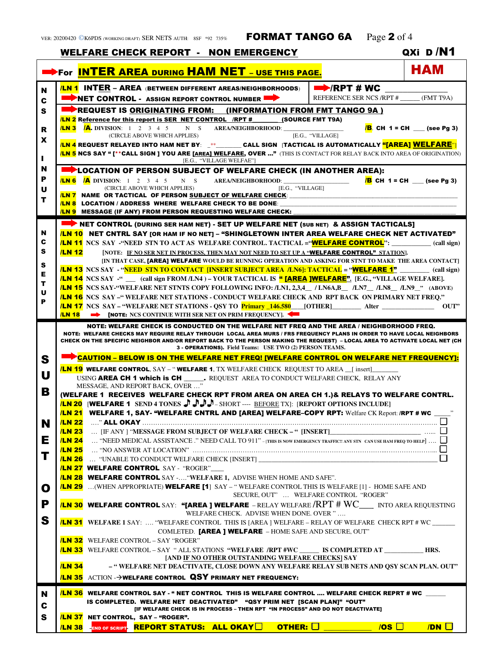|        |                                                                                                                                                                                                                                                                                                                                                                                                                                   | <b>WELFARE CHECK REPORT - NON EMERGENCY</b>                                                                                                                                                          | QXi D/N1                         |  |
|--------|-----------------------------------------------------------------------------------------------------------------------------------------------------------------------------------------------------------------------------------------------------------------------------------------------------------------------------------------------------------------------------------------------------------------------------------|------------------------------------------------------------------------------------------------------------------------------------------------------------------------------------------------------|----------------------------------|--|
|        |                                                                                                                                                                                                                                                                                                                                                                                                                                   | For INTER AREA DURING HAM NET - USE THIS PAGE.                                                                                                                                                       | <b>HAM</b>                       |  |
| N      |                                                                                                                                                                                                                                                                                                                                                                                                                                   | $\Rightarrow$ /RPT # WC<br><b>ILN 1 INTER – AREA (BETWEEN DIFFERENT AREAS/NEIGHBORHOODS)</b>                                                                                                         |                                  |  |
| C      |                                                                                                                                                                                                                                                                                                                                                                                                                                   | REFERENCE SER NCS /RPT # ______ (FMT T9A)<br>NET CONTROL - ASSIGN REPORT CONTROL NUMBER                                                                                                              |                                  |  |
| s      |                                                                                                                                                                                                                                                                                                                                                                                                                                   | REQUEST IS ORIGINATING FROM: (INFORMATION FROM FMT TANGO 9A)                                                                                                                                         |                                  |  |
|        |                                                                                                                                                                                                                                                                                                                                                                                                                                   | <b>LN 2</b> Reference for this report is SER NET CONTROL /RPT # (SOURCE FMT T9A)                                                                                                                     |                                  |  |
| R      |                                                                                                                                                                                                                                                                                                                                                                                                                                   | <b>ILN 3 A.</b> DIVISION: 1 2 3 4 5 N S AREA/NEIGHBORHOOD:<br>[E.G., "VILLAGE]<br>(CIRCLE ABOVE WHICH APPLIES)                                                                                       | <b>B</b> CH 1 = CH __ (see Pg 3) |  |
| X      | <mark>/LN 4</mark> REQUEST RELAYED INTO HAM NET BY: _**________CALL SIGN  TACTICAL IS AUTOMATICALLY <mark>"[AREA] WELFARE"</mark> ]                                                                                                                                                                                                                                                                                               |                                                                                                                                                                                                      |                                  |  |
| п      | <mark>ILN 5</mark> NCS SAY " [**CALL SIGN ] YOU ARE [AREA] WELFARE, OVER …" (THIS IS CONTACT FOR RELAY BACK INTO AREA OF ORIGINATION)<br>[E.G., "VILLAGE WELFAE"]                                                                                                                                                                                                                                                                 |                                                                                                                                                                                                      |                                  |  |
| N      | <b>Example 2</b> LOCATION OF PERSON SUBJECT OF WELFARE CHECK (IN ANOTHER AREA):                                                                                                                                                                                                                                                                                                                                                   |                                                                                                                                                                                                      |                                  |  |
| Р      |                                                                                                                                                                                                                                                                                                                                                                                                                                   | <b>ILN 6 /A</b> DIVISION: 1 2 3 4 5 N S AREA/NEIGHBORHOOD:                                                                                                                                           | <b>B</b> CH $1 = CH$ (see Pg 3)  |  |
| U      | [E.G., "VILLAGE]<br>(CIRCLE ABOVE WHICH APPLIES)                                                                                                                                                                                                                                                                                                                                                                                  |                                                                                                                                                                                                      |                                  |  |
| т      | <b>ILN 7</b> NAME OR TACTICAL OF PERSON SUBJECT OF WELFARE CHECK: NAME OR TACTICAL OF PERSON SUBJECT OF WELFARE CHECK:<br>ILN 8 LOCATION / ADDRESS WHERE WELFARE CHECK TO BE DONE:                                                                                                                                                                                                                                                |                                                                                                                                                                                                      |                                  |  |
|        |                                                                                                                                                                                                                                                                                                                                                                                                                                   | <b>LN 9</b> MESSAGE (IF ANY) FROM PERSON REQUESTING WELFARE CHECK:                                                                                                                                   |                                  |  |
|        |                                                                                                                                                                                                                                                                                                                                                                                                                                   | NET CONTROL (DURING SER HAM NET) - SET UP WELFARE NET (SUB NET) & ASSIGN TACTICALS]                                                                                                                  |                                  |  |
| N      |                                                                                                                                                                                                                                                                                                                                                                                                                                   | <b>ILN 10 NET CNTRL SAY [OR HAM IF NO NET] - "SHINGLETOWN INTER AREA WELFARE CHECK NET ACTIVATED"</b>                                                                                                |                                  |  |
| c<br>s |                                                                                                                                                                                                                                                                                                                                                                                                                                   | <b>ILN 11</b> NCS SAY - "NEED STN TO ACT AS WELFARE CONTROL. TACTICAL = " <b>WELFARE CONTROL</b> ": (call sign)                                                                                      |                                  |  |
|        | <b>/LN 12</b>                                                                                                                                                                                                                                                                                                                                                                                                                     | [NOTE: IF NO SER NET IN PROCESS, THEN MAY NOT NEED TO SET UP A "WELFARE CONTROL" STATIONI.<br>[IN THAT CASE, [AREA] WELFARE WOULD BE RUNNING OPERATION AND ASKING FOR STNT TO MAKE THE AREA CONTACT] |                                  |  |
| s<br>Е |                                                                                                                                                                                                                                                                                                                                                                                                                                   | <b>LN 13</b> NCS SAY - "NEED STN TO CONTACT [INSERT SUBJECT AREA <i>L</i> N6]: TACTICAL = " <b>WELFARE 1"</b> ________ (call sign)                                                                   |                                  |  |
| т      | <b>LN 14</b> NCS SAY -" ___ (call sign FROM /LN4) – YOUR TACTICAL IS " <b>[AREA ]WELFARE"</b> . [E.G., "VILLAGE WELFARE].                                                                                                                                                                                                                                                                                                         |                                                                                                                                                                                                      |                                  |  |
| U      | <b>LN 15</b> NCS SAY-"WELFARE NET STNTS COPY FOLLOWING INFO: /LN1, 2,3,4_/LN6A,B_/LN7_/LN8_/LN9_" (ABOVE)<br><b>/LN 16</b> NCS SAY -"WELFARE NET STATIONS - CONDUCT WELFARE CHECK AND RPT BACK ON PRIMARY NET FREO."                                                                                                                                                                                                              |                                                                                                                                                                                                      |                                  |  |
| P      |                                                                                                                                                                                                                                                                                                                                                                                                                                   |                                                                                                                                                                                                      |                                  |  |
|        |                                                                                                                                                                                                                                                                                                                                                                                                                                   | <b>ILN 18 •• [NOTE: NCS CONTINUE WITH SER NET ON PRIM FREQUENCY].</b>                                                                                                                                |                                  |  |
|        | NOTE: WELFARE CHECKS MAY REQUIRE RELAY THROUGH LOCAL AREA MURS / FRS FREQUENCY PLANS IN ORDER TO HAVE LOCAL NEIGHBORS<br>CHECK ON THE SPECIFIC NEIGHBOR AND/OR REPORT BACK TO THE PERSON MAKING THE REQUEST) – LOCAL AREA TO ACTIVATE LOCAL NET (CH<br><b>3 - OPERATIONS).</b> Field Teams: USE TWO (2) PERSON TEAMS.<br><b>Example 2 CAUTION - BELOW IS ON THE WELFARE NET FREQ! [WELFARE CONTROL ON WELFARE NET FREQUENCY]:</b> |                                                                                                                                                                                                      |                                  |  |
| S      | <b>LN 19 WELFARE CONTROL</b> , SAY – "WELFARE 1, TX WELFARE CHECK REQUEST TO AREA [insert]                                                                                                                                                                                                                                                                                                                                        |                                                                                                                                                                                                      |                                  |  |
| U      | USING AREA CH 1 which is CH _______ REQUEST AREA TO CONDUCT WELFARE CHECK, RELAY ANY                                                                                                                                                                                                                                                                                                                                              |                                                                                                                                                                                                      |                                  |  |
| в      | MESSAGE, AND REPORT BACK, OVER "                                                                                                                                                                                                                                                                                                                                                                                                  |                                                                                                                                                                                                      |                                  |  |
|        | (WELFARE 1 RECEIVES WELFARE CHECK RPT FROM AREA ON AREA CH 1.)& RELAYS TO WELFARE CONTRL.<br>LN 20 [WELFARE 1 SEND 4 TONES ] J J J - SHORT ---- BEFORE TX]: [REPORT OPTIONS INCLUDE]                                                                                                                                                                                                                                              |                                                                                                                                                                                                      |                                  |  |
|        |                                                                                                                                                                                                                                                                                                                                                                                                                                   | <b>/LN 21</b> WELFARE 1, SAY- "WELFARE CNTRL AND [AREA] WELFARE-COPY RPT: Welfare CK Report: /RPT # WC                                                                                               |                                  |  |
| N      | /LN 22                                                                                                                                                                                                                                                                                                                                                                                                                            |                                                                                                                                                                                                      |                                  |  |
|        | <b>/LN 23</b>                                                                                                                                                                                                                                                                                                                                                                                                                     | [IF ANY ] "MESSAGE FROM SUBJECT OF WELFARE CHECK – " [INSERT]                                                                                                                                        |                                  |  |
| Е      | <b>/LN 24</b><br><b>/LN 25</b>                                                                                                                                                                                                                                                                                                                                                                                                    | "NEED MEDICAL ASSISTANCE." NEED CALL TO 911" - [THIS IS NOW EMERGENCY TRAFFIC!! ANY STN CAN USE HAM FREQ TO HELP] $\Box$                                                                             |                                  |  |
| Т      |                                                                                                                                                                                                                                                                                                                                                                                                                                   | <b>/LN 26</b> "UNABLE TO CONDUCT WELFARE CHECK [INSERT] ___________________________                                                                                                                  |                                  |  |
|        |                                                                                                                                                                                                                                                                                                                                                                                                                                   | <mark>ILN 27</mark> WELFARE CONTROL SAY - "ROGER"                                                                                                                                                    |                                  |  |
|        |                                                                                                                                                                                                                                                                                                                                                                                                                                   | <b>ILN 28 WELFARE CONTROL</b> SAY - "WELFARE 1, ADVISE WHEN HOME AND SAFE".                                                                                                                          |                                  |  |
| O      |                                                                                                                                                                                                                                                                                                                                                                                                                                   | <b>ILN 29</b> (WHEN APPROPRIATE) WELFARE [1] SAY - "WELFARE CONTROL THIS IS WELFARE [1] - HOME SAFE AND<br>SECURE, OUT"  WELFARE CONTROL "ROGER"                                                     |                                  |  |
| P      |                                                                                                                                                                                                                                                                                                                                                                                                                                   | <b>ILN 30 WELFARE CONTROL</b> SAY: "[AREA ] WELFARE - RELAY WELFARE <b>/RPT</b> # WC____ INTO AREA REQUESTING<br>WELFARE CHECK. ADVISE WHEN DONE. OVER "                                             |                                  |  |
| S      |                                                                                                                                                                                                                                                                                                                                                                                                                                   | <b>LN 31</b> WELFARE 1 SAY:  "WELFARE CONTROL THIS IS [AREA ] WELFARE – RELAY OF WELFARE CHECK RPT # WC                                                                                              |                                  |  |
|        |                                                                                                                                                                                                                                                                                                                                                                                                                                   | COMLETED. [AREA ] WELFARE - HOME SAFE AND SECURE, OUT"<br><b>LN 32</b> WELFARE CONTROL - SAY "ROGER"                                                                                                 |                                  |  |
|        |                                                                                                                                                                                                                                                                                                                                                                                                                                   | <b>LIN 33</b> WELFARE CONTROL - SAY "ALL STATIONS "WELFARE /RPT #WC ______ IS COMPLETED AT ____________ HRS.                                                                                         |                                  |  |
|        | <b>[AND IF NO OTHER OUTSTANDING WELFARE CHECKS] SAY</b>                                                                                                                                                                                                                                                                                                                                                                           |                                                                                                                                                                                                      |                                  |  |
|        | <b>/LN 34</b><br>- "WELFARE NET DEACTIVATE, CLOSE DOWN ANY WELFARE RELAY SUB NETS AND QSY SCAN PLAN. OUT"                                                                                                                                                                                                                                                                                                                         |                                                                                                                                                                                                      |                                  |  |
|        |                                                                                                                                                                                                                                                                                                                                                                                                                                   | <b>/LN 35</b> ACTION ->WELFARE CONTROL QSY PRIMARY NET FREQUENCY:                                                                                                                                    |                                  |  |
| N<br>C | <b>ILN 36</b> WELFARE CONTROL SAY - " NET CONTROL THIS IS WELFARE CONTROL  WELFARE CHECK REPRT # WC<br>IS COMPLETED. WELFARE NET DEACTIVATED" "QSY PRIM NET [SCAN PLAN]" "OUT"<br>[IF WELFARE CHECK IS IN PROCESS - THEN RPT "IN PROCESS" AND DO NOT DEACTIVATE]                                                                                                                                                                  |                                                                                                                                                                                                      |                                  |  |
| S      | /LN 37 NET CONTROL, SAY - "ROGER".                                                                                                                                                                                                                                                                                                                                                                                                |                                                                                                                                                                                                      |                                  |  |
|        |                                                                                                                                                                                                                                                                                                                                                                                                                                   | <b>/LN 38</b> PEND OF SCRIPT- <b>REPORT STATUS: ALL OKAY □ OTHER:</b> □<br>$/$ <b>OS</b> $\Box$                                                                                                      | $/DN$ $\Box$                     |  |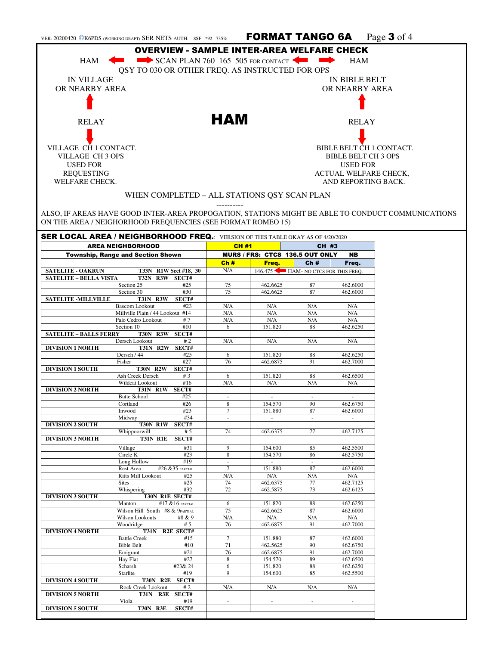